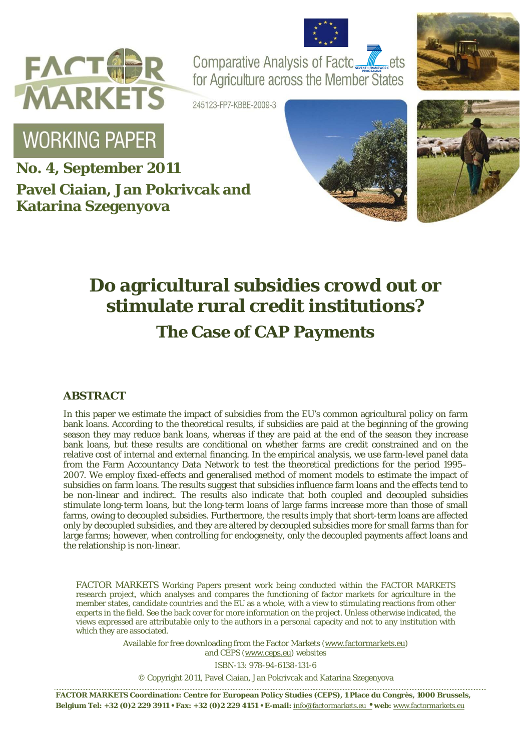



Comparative Analysis of Facto for Agriculture across the Member States



245123-FP7-KBBE-2009-3

# **WORKING PAPER**

**No. 4, September 2011 Pavel Ciaian, Jan Pokrivcak and Katarina Szegenyova**





# **Do agricultural subsidies crowd out or stimulate rural credit institutions?**

## **The Case of CAP Payments**

#### **ABSTRACT**

In this paper we estimate the impact of subsidies from the EU's common agricultural policy on farm bank loans. According to the theoretical results, if subsidies are paid at the beginning of the growing season they may reduce bank loans, whereas if they are paid at the end of the season they increase bank loans, but these results are conditional on whether farms are credit constrained and on the relative cost of internal and external financing. In the empirical analysis, we use farm-level panel data from the Farm Accountancy Data Network to test the theoretical predictions for the period 1995– 2007. We employ fixed-effects and generalised method of moment models to estimate the impact of subsidies on farm loans. The results suggest that subsidies influence farm loans and the effects tend to be non-linear and indirect. The results also indicate that both coupled and decoupled subsidies stimulate long-term loans, but the long-term loans of large farms increase more than those of small farms, owing to decoupled subsidies. Furthermore, the results imply that short-term loans are affected only by decoupled subsidies, and they are altered by decoupled subsidies more for small farms than for large farms; however, when controlling for endogeneity, only the decoupled payments affect loans and the relationship is non-linear.

FACTOR MARKETS Working Papers present work being conducted within the FACTOR MARKETS research project, which analyses and compares the functioning of factor markets for agriculture in the member states, candidate countries and the EU as a whole, with a view to stimulating reactions from other experts in the field. See the back cover for more information on the project. Unless otherwise indicated, the views expressed are attributable only to the authors in a personal capacity and not to any institution with which they are associated.

> Available for free downloading from the Factor Markets (www.factormarkets.eu) and CEPS (www.ceps.eu) websites

> > ISBN-13: 978-94-6138-131-6

© Copyright 2011, Pavel Ciaian, Jan Pokrivcak and Katarina Szegenyova

**FACTOR MARKETS Coordination: Centre for European Policy Studies (CEPS), 1 Place du Congrès, 1000 Brussels, Belgium Tel: +32 (0)2 229 3911 • Fax: +32 (0)2 229 4151 • E-mail:** info@factormarkets.eu • **web:** www.factormarkets.eu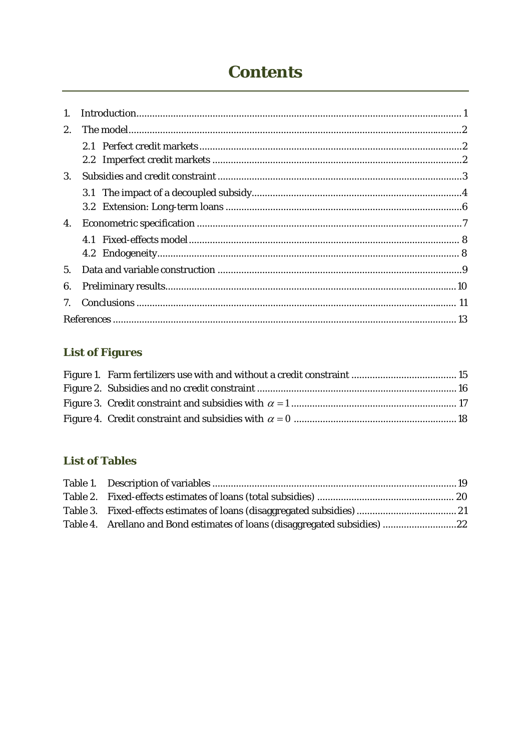# **Contents**

| 1. |  |
|----|--|
| 2. |  |
|    |  |
|    |  |
| 3. |  |
|    |  |
|    |  |
| 4. |  |
|    |  |
|    |  |
| 5. |  |
| 6. |  |
|    |  |
|    |  |

### **List of Figures**

### **List of Tables**

| Table 4. Arellano and Bond estimates of loans (disaggregated subsidies) 22 |  |
|----------------------------------------------------------------------------|--|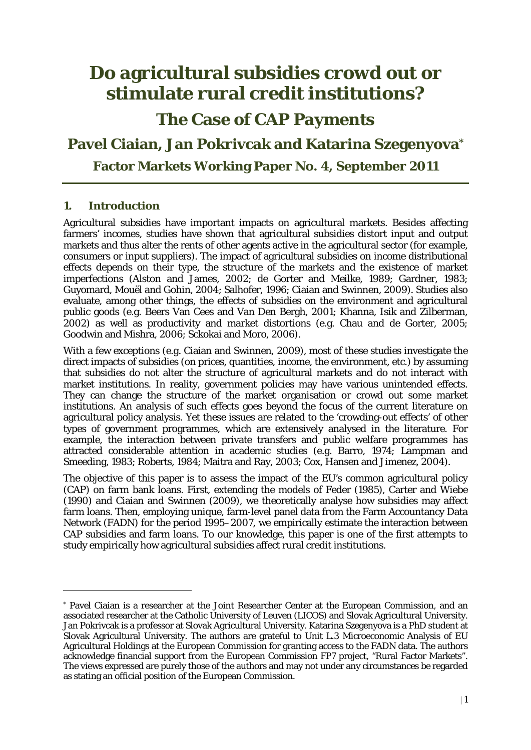## **Do agricultural subsidies crowd out or stimulate rural credit institutions?**

**The Case of CAP Payments** 

### **Pavel Ciaian, Jan Pokrivcak and Katarina Szegenyova\***

**Factor Markets Working Paper No. 4, September 2011** 

#### **1. Introduction**

<u>.</u>

Agricultural subsidies have important impacts on agricultural markets. Besides affecting farmers' incomes, studies have shown that agricultural subsidies distort input and output markets and thus alter the rents of other agents active in the agricultural sector (for example, consumers or input suppliers). The impact of agricultural subsidies on income distributional effects depends on their type, the structure of the markets and the existence of market imperfections (Alston and James, 2002; de Gorter and Meilke, 1989; Gardner, 1983; Guyomard, Mouël and Gohin, 2004; Salhofer, 1996; Ciaian and Swinnen, 2009). Studies also evaluate, among other things, the effects of subsidies on the environment and agricultural public goods (e.g. Beers Van Cees and Van Den Bergh, 2001; Khanna, Isik and Zilberman, 2002) as well as productivity and market distortions (e.g. Chau and de Gorter, 2005; Goodwin and Mishra, 2006; Sckokai and Moro, 2006).

With a few exceptions (e.g. Ciaian and Swinnen, 2009), most of these studies investigate the direct impacts of subsidies (on prices, quantities, income, the environment, etc.) by assuming that subsidies do not alter the structure of agricultural markets and do not interact with market institutions. In reality, government policies may have various unintended effects. They can change the structure of the market organisation or crowd out some market institutions. An analysis of such effects goes beyond the focus of the current literature on agricultural policy analysis. Yet these issues are related to the 'crowding-out effects' of other types of government programmes, which are extensively analysed in the literature. For example, the interaction between private transfers and public welfare programmes has attracted considerable attention in academic studies (e.g. Barro, 1974; Lampman and Smeeding, 1983; Roberts, 1984; Maitra and Ray, 2003; Cox, Hansen and Jimenez, 2004).

The objective of this paper is to assess the impact of the EU's common agricultural policy (CAP) on farm bank loans. First, extending the models of Feder (1985), Carter and Wiebe (1990) and Ciaian and Swinnen (2009), we theoretically analyse how subsidies may affect farm loans. Then, employing unique, farm-level panel data from the Farm Accountancy Data Network (FADN) for the period 1995–2007, we empirically estimate the interaction between CAP subsidies and farm loans. To our knowledge, this paper is one of the first attempts to study empirically how agricultural subsidies affect rural credit institutions.

<sup>\*</sup> Pavel Ciaian is a researcher at the Joint Researcher Center at the European Commission, and an associated researcher at the Catholic University of Leuven (LICOS) and Slovak Agricultural University. Jan Pokrivcak is a professor at Slovak Agricultural University. Katarina Szegenyova is a PhD student at Slovak Agricultural University. The authors are grateful to Unit L.3 Microeconomic Analysis of EU Agricultural Holdings at the European Commission for granting access to the FADN data. The authors acknowledge financial support from the European Commission FP7 project, "Rural Factor Markets". The views expressed are purely those of the authors and may not under any circumstances be regarded as stating an official position of the European Commission.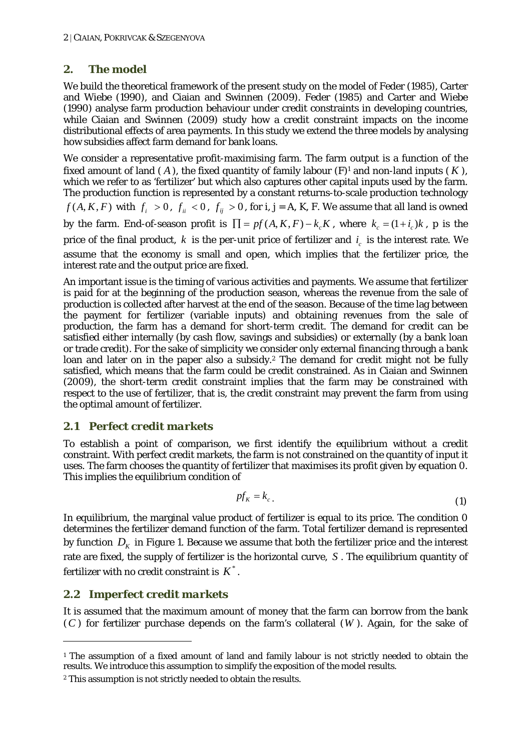#### **2. The model**

We build the theoretical framework of the present study on the model of Feder (1985), Carter and Wiebe (1990), and Ciaian and Swinnen (2009). Feder (1985) and Carter and Wiebe (1990) analyse farm production behaviour under credit constraints in developing countries, while Ciaian and Swinnen (2009) study how a credit constraint impacts on the income distributional effects of area payments. In this study we extend the three models by analysing how subsidies affect farm demand for bank loans.

We consider a representative profit-maximising farm. The farm output is a function of the fixed amount of land  $(A)$ , the fixed quantity of family labour  $(F)^1$  and non-land inputs  $(K)$ , which we refer to as 'fertilizer' but which also captures other capital inputs used by the farm. The production function is represented by a constant returns-to-scale production technology *f* (*A*, *K*, *F*) with  $f_i > 0$ ,  $f_{ii} < 0$ ,  $f_{ij} > 0$ , for *i*, *j* = *A*, *K*, *F*. We assume that all land is owned by the farm. End-of-season profit is  $\prod = pf(A, K, F) - k_{c}K$ , where  $k_{c} = (1 + i_{c})k$ , p is the price of the final product,  $k$  is the per-unit price of fertilizer and  $i<sub>c</sub>$  is the interest rate. We assume that the economy is small and open, which implies that the fertilizer price, the interest rate and the output price are fixed.

An important issue is the timing of various activities and payments. We assume that fertilizer is paid for at the beginning of the production season, whereas the revenue from the sale of production is collected after harvest at the end of the season. Because of the time lag between the payment for fertilizer (variable inputs) and obtaining revenues from the sale of production, the farm has a demand for short-term credit. The demand for credit can be satisfied either internally (by cash flow, savings and subsidies) or externally (by a bank loan or trade credit). For the sake of simplicity we consider only external financing through a bank loan and later on in the paper also a subsidy.2 The demand for credit might not be fully satisfied, which means that the farm could be credit constrained. As in Ciaian and Swinnen (2009), the short-term credit constraint implies that the farm may be constrained with respect to the use of fertilizer, that is, the credit constraint may prevent the farm from using the optimal amount of fertilizer.

#### *2.1 Perfect credit markets*

To establish a point of comparison, we first identify the equilibrium without a credit constraint. With perfect credit markets, the farm is not constrained on the quantity of input it uses. The farm chooses the quantity of fertilizer that maximises its profit given by equation 0. This implies the equilibrium condition of

$$
pf_{K} = k_{c} \tag{1}
$$

In equilibrium, the marginal value product of fertilizer is equal to its price. The condition 0 determines the fertilizer demand function of the farm. Total fertilizer demand is represented by function  $D<sub>K</sub>$  in Figure 1. Because we assume that both the fertilizer price and the interest rate are fixed, the supply of fertilizer is the horizontal curve, *S* . The equilibrium quantity of fertilizer with no credit constraint is  $K^*$ .

#### *2.2 Imperfect credit markets*

-

It is assumed that the maximum amount of money that the farm can borrow from the bank (*C* ) for fertilizer purchase depends on the farm's collateral (*W* ). Again, for the sake of

<sup>1</sup> The assumption of a fixed amount of land and family labour is not strictly needed to obtain the results. We introduce this assumption to simplify the exposition of the model results.

<sup>&</sup>lt;sup>2</sup> This assumption is not strictly needed to obtain the results.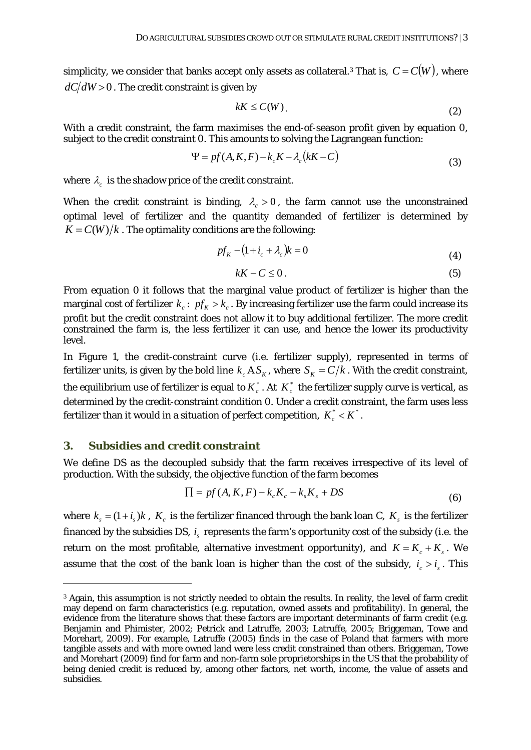simplicity, we consider that banks accept only assets as collateral.<sup>3</sup> That is,  $C = C(W)$ , where  $dC/dW$  > 0. The credit constraint is given by

$$
kK \le C(W). \tag{2}
$$

With a credit constraint, the farm maximises the end-of-season profit given by equation 0, subject to the credit constraint 0. This amounts to solving the Lagrangean function:

$$
\Psi = pf(A, K, F) - k_c K - \lambda_c (kK - C) \tag{3}
$$

where  $\lambda_c$  is the shadow price of the credit constraint.

When the credit constraint is binding,  $\lambda_c > 0$ , the farm cannot use the unconstrained optimal level of fertilizer and the quantity demanded of fertilizer is determined by  $K = C(W)/k$ . The optimality conditions are the following:

$$
pfK - (1 + ic + \lambdac)k = 0
$$
\n(4)

$$
kK - C \le 0. \tag{5}
$$

From equation 0 it follows that the marginal value product of fertilizer is higher than the marginal cost of fertilizer  $k_c$ :  $pf_k > k_c$ . By increasing fertilizer use the farm could increase its profit but the credit constraint does not allow it to buy additional fertilizer. The more credit constrained the farm is, the less fertilizer it can use, and hence the lower its productivity level.

In Figure 1, the credit-constraint curve (i.e. fertilizer supply), represented in terms of fertilizer units, is given by the bold line  $k<sub>c</sub> A S<sub>K</sub>$ , where  $S<sub>K</sub> = C/k$ . With the credit constraint, the equilibrium use of fertilizer is equal to  $K_c^*$ . At  $K_c^*$  the fertilizer supply curve is vertical, as determined by the credit-constraint condition 0. Under a credit constraint, the farm uses less fertilizer than it would in a situation of perfect competition,  $K_c^* < K^*$ .

#### **3. Subsidies and credit constraint**

<u>.</u>

We define *DS* as the decoupled subsidy that the farm receives irrespective of its level of production. With the subsidy, the objective function of the farm becomes

$$
\Pi = pf(A, K, F) - k_c K_c - k_s K_s + DS \tag{6}
$$

where  $k_s = (1 + i_s)k$ ,  $K_c$  is the fertilizer financed through the bank loan *C*,  $K_s$  is the fertilizer financed by the subsidies *DS*, *i<sub>s</sub>* represents the farm's opportunity cost of the subsidy (i.e. the return on the most profitable, alternative investment opportunity), and  $K = K_c + K_s$ . We assume that the cost of the bank loan is higher than the cost of the subsidy,  $i_c > i_s$ . This

<sup>3</sup> Again, this assumption is not strictly needed to obtain the results. In reality, the level of farm credit may depend on farm characteristics (e.g. reputation, owned assets and profitability). In general, the evidence from the literature shows that these factors are important determinants of farm credit (e.g. Benjamin and Phimister, 2002; Petrick and Latruffe, 2003; Latruffe, 2005; Briggeman, Towe and Morehart, 2009). For example, Latruffe (2005) finds in the case of Poland that farmers with more tangible assets and with more owned land were less credit constrained than others. Briggeman, Towe and Morehart (2009) find for farm and non-farm sole proprietorships in the US that the probability of being denied credit is reduced by, among other factors, net worth, income, the value of assets and subsidies.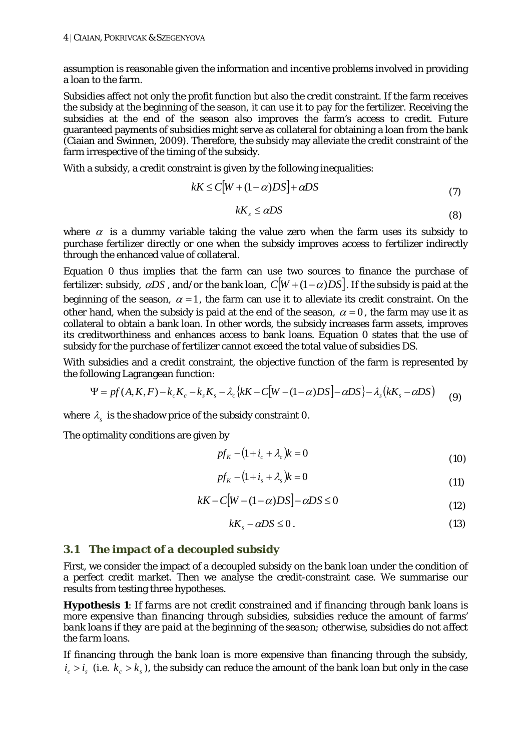assumption is reasonable given the information and incentive problems involved in providing a loan to the farm.

Subsidies affect not only the profit function but also the credit constraint. If the farm receives the subsidy at the beginning of the season, it can use it to pay for the fertilizer. Receiving the subsidies at the end of the season also improves the farm's access to credit. Future guaranteed payments of subsidies might serve as collateral for obtaining a loan from the bank (Ciaian and Swinnen, 2009). Therefore, the subsidy may alleviate the credit constraint of the farm irrespective of the timing of the subsidy.

With a subsidy, a credit constraint is given by the following inequalities:

$$
kK \le C[W + (1 - \alpha)DS] + \alpha DS \tag{7}
$$

$$
kK_s \leq \alpha DS \tag{8}
$$

where  $\alpha$  is a dummy variable taking the value zero when the farm uses its subsidy to purchase fertilizer directly or one when the subsidy improves access to fertilizer indirectly through the enhanced value of collateral.

Equation 0 thus implies that the farm can use two sources to finance the purchase of fertilizer: subsidy,  $\alpha DS$ , and/or the bank loan,  $C[W+(1-\alpha)DS]$ . If the subsidy is paid at the beginning of the season,  $\alpha = 1$ , the farm can use it to alleviate its credit constraint. On the other hand, when the subsidy is paid at the end of the season,  $\alpha = 0$ , the farm may use it as collateral to obtain a bank loan. In other words, the subsidy increases farm assets, improves its creditworthiness and enhances access to bank loans. Equation 0 states that the use of subsidy for the purchase of fertilizer cannot exceed the total value of subsidies *DS*.

With subsidies and a credit constraint, the objective function of the farm is represented by the following Lagrangean function:

$$
\Psi = pf(A, K, F) - k_c K_c - k_s K_s - \lambda_c \{ kK - C[W - (1 - \alpha)DS] - \alpha DS \} - \lambda_s (kK_s - \alpha DS) \tag{9}
$$

where  $\lambda_{\rm s}$  is the shadow price of the subsidy constraint 0.

The optimality conditions are given by

$$
pfK - (1 + ic + \lambdac)k = 0
$$
 (10)

$$
pfK - (1 + is + \lambdas)k = 0
$$
\n(11)

$$
kK - C[W - (1 - \alpha)DS] - \alpha DS \le 0\tag{12}
$$

$$
kK_s - \alpha DS \le 0. \tag{13}
$$

#### *3.1 The impact of a decoupled subsidy*

First, we consider the impact of a decoupled subsidy on the bank loan under the condition of a perfect credit market. Then we analyse the credit-constraint case. We summarise our results from testing three hypotheses.

**Hypothesis 1**: *If farms are not credit constrained and if financing through bank loans is more expensive than financing through subsidies, subsidies reduce the amount of farms' bank loans if they are paid at the beginning of the season; otherwise, subsidies do not affect the farm loans.* 

If financing through the bank loan is more expensive than financing through the subsidy,  $i_{s} > i_{s}$  (i.e.  $k_{s} > k_{s}$ ), the subsidy can reduce the amount of the bank loan but only in the case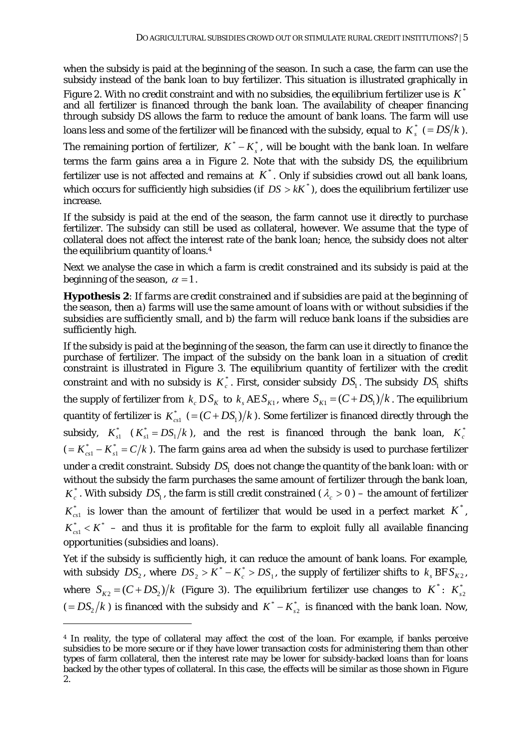when the subsidy is paid at the beginning of the season. In such a case, the farm can use the subsidy instead of the bank loan to buy fertilizer. This situation is illustrated graphically in Figure 2. With no credit constraint and with no subsidies, the equilibrium fertilizer use is  $K^*$ and all fertilizer is financed through the bank loan. The availability of cheaper financing through subsidy *DS* allows the farm to reduce the amount of bank loans. The farm will use loans less and some of the fertilizer will be financed with the subsidy, equal to  $K^*$  (=  $DS/k$ ).

The remaining portion of fertilizer,  $K^* - K_*^*$ , will be bought with the bank loan. In welfare terms the farm gains area *a* in Figure 2. Note that with the subsidy *DS*, the equilibrium fertilizer use is not affected and remains at  $K^*$ . Only if subsidies crowd out all bank loans, which occurs for sufficiently high subsidies (if  $DS > kK^*$ ), does the equilibrium fertilizer use increase.

If the subsidy is paid at the end of the season, the farm cannot use it directly to purchase fertilizer. The subsidy can still be used as collateral, however. We assume that the type of collateral does not affect the interest rate of the bank loan; hence, the subsidy does not alter the equilibrium quantity of loans.4

Next we analyse the case in which a farm is credit constrained and its subsidy is paid at the beginning of the season,  $\alpha = 1$ .

**Hypothesis 2**: *If farms are credit constrained and if subsidies are paid at the beginning of the season, then a) farms will use the same amount of loans with or without subsidies if the subsidies are sufficiently small, and b) the farm will reduce bank loans if the subsidies are sufficiently high.* 

If the subsidy is paid at the beginning of the season, the farm can use it directly to finance the purchase of fertilizer. The impact of the subsidy on the bank loan in a situation of credit constraint is illustrated in Figure 3. The equilibrium quantity of fertilizer with the credit constraint and with no subsidy is  $K_c^*$ . First, consider subsidy  $DS_1$ . The subsidy  $DS_1$  shifts the supply of fertilizer from  $k_c DS_K$  to  $k_s AES_{K1}$ , where  $S_{K1} = (C + DS_1)/k$ . The equilibrium quantity of fertilizer is  $K_{\text{cyl}}^*$  (= $(C + DS_1)/k$ ). Some fertilizer is financed directly through the subsidy,  $K_{s1}^*$   $(K_{s1}^* = DS_1/k)$ , and the rest is financed through the bank loan,  $K_c^*$  $(K_{cs1}^* - K_{s1}^* = C/k)$  $\kappa_{\rm cst}^* - K^*_{s1} = C/k$  ). The farm gains area *ad* when the subsidy is used to purchase fertilizer under a credit constraint. Subsidy  $DS<sub>1</sub>$  does not change the quantity of the bank loan: with or without the subsidy the farm purchases the same amount of fertilizer through the bank loan,  $K_c^*$ . With subsidy  $DS_1$ , the farm is still credit constrained ( $\lambda_c > 0$ ) – the amount of fertilizer  $K_{c1}^{*}$  is lower than the amount of fertilizer that would be used in a perfect market  $K^{*}$ ,  $K_{\text{cyl}}^* < K^*$  – and thus it is profitable for the farm to exploit fully all available financing opportunities (subsidies and loans).

Yet if the subsidy is sufficiently high, it can reduce the amount of bank loans. For example, with subsidy  $DS_2$ , where  $DS_2 > K^* - K_c^* > DS_1$ , the supply of fertilizer shifts to  $k_s BFS_{K2}$ , where  $S_{K2} = (C + DS_2)/k$  (Figure 3). The equilibrium fertilizer use changes to  $K^*$ :  $K_{S2}^*$  $(= DS_2/k)$  is financed with the subsidy and  $K^* - K_{s2}^*$  is financed with the bank loan. Now,

<u>.</u>

<sup>4</sup> In reality, the type of collateral may affect the cost of the loan. For example, if banks perceive subsidies to be more secure or if they have lower transaction costs for administering them than other types of farm collateral, then the interest rate may be lower for subsidy-backed loans than for loans backed by the other types of collateral. In this case, the effects will be similar as those shown in Figure 2.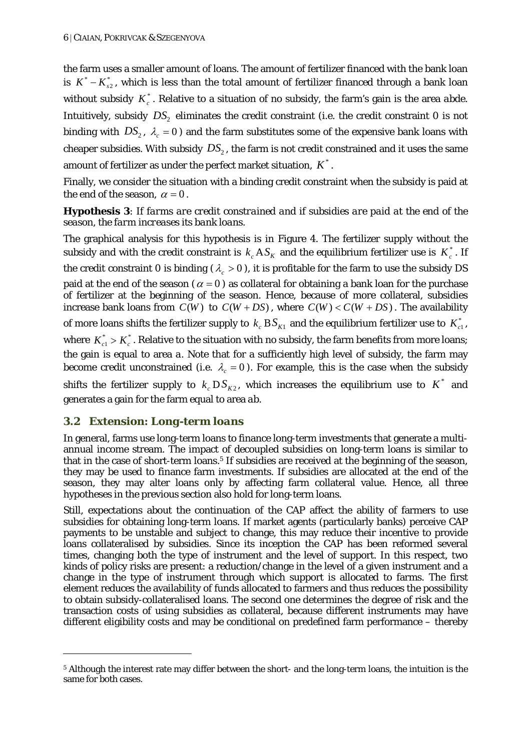the farm uses a smaller amount of loans. The amount of fertilizer financed with the bank loan is  $K^* - K_{s2}^*$ , which is less than the total amount of fertilizer financed through a bank loan without subsidy  $K_c^*$ . Relative to a situation of no subsidy, the farm's gain is the area *abde*. Intuitively, subsidy  $DS<sub>2</sub>$  eliminates the credit constraint (i.e. the credit constraint 0 is not binding with  $DS_2$ ,  $\lambda_c = 0$ ) and the farm substitutes some of the expensive bank loans with cheaper subsidies. With subsidy  $DS_2$ , the farm is not credit constrained and it uses the same amount of fertilizer as under the perfect market situation,  $K^*$ .

Finally, we consider the situation with a binding credit constraint when the subsidy is paid at the end of the season,  $\alpha = 0$ .

#### **Hypothesis 3**: *If farms are credit constrained and if subsidies are paid at the end of the season, the farm increases its bank loans.*

The graphical analysis for this hypothesis is in Figure 4. The fertilizer supply without the subsidy and with the credit constraint is  $k_c A S_K$  and the equilibrium fertilizer use is  $K_c^*$ . If the credit constraint 0 is binding  $(\lambda > 0)$ , it is profitable for the farm to use the subsidy *DS* paid at the end of the season ( $\alpha = 0$ ) as collateral for obtaining a bank loan for the purchase of fertilizer at the beginning of the season. Hence, because of more collateral, subsidies increase bank loans from  $C(W)$  to  $C(W + DS)$ , where  $C(W) < C(W + DS)$ . The availability of more loans shifts the fertilizer supply to  $k_c$   $BS_{K1}$  and the equilibrium fertilizer use to  $K_{c1}^*$ , where  $K_{c1}^* > K_c^*$ . Relative to the situation with no subsidy, the farm benefits from more loans; the gain is equal to area *a*. Note that for a sufficiently high level of subsidy, the farm may become credit unconstrained (i.e.  $\lambda_c = 0$ ). For example, this is the case when the subsidy shifts the fertilizer supply to  $k_c DS_{K2}$ , which increases the equilibrium use to  $K^*$  and generates a gain for the farm equal to area *ab*.

#### *3.2 Extension: Long-term loans*

<u>.</u>

In general, farms use long-term loans to finance long-term investments that generate a multiannual income stream. The impact of decoupled subsidies on long-term loans is similar to that in the case of short-term loans.<sup>5</sup> If subsidies are received at the beginning of the season, they may be used to finance farm investments. If subsidies are allocated at the end of the season, they may alter loans only by affecting farm collateral value. Hence, all three hypotheses in the previous section also hold for long-term loans.

Still, expectations about the continuation of the CAP affect the ability of farmers to use subsidies for obtaining long-term loans. If market agents (particularly banks) perceive CAP payments to be unstable and subject to change, this may reduce their incentive to provide loans collateralised by subsidies. Since its inception the CAP has been reformed several times, changing both the type of instrument and the level of support. In this respect, two kinds of policy risks are present: a reduction/change in the level of a given instrument and a change in the type of instrument through which support is allocated to farms. The first element reduces the availability of funds allocated to farmers and thus reduces the possibility to obtain subsidy-collateralised loans. The second one determines the degree of risk and the transaction costs of using subsidies as collateral, because different instruments may have different eligibility costs and may be conditional on predefined farm performance – thereby

<sup>5</sup> Although the interest rate may differ between the short- and the long-term loans, the intuition is the same for both cases.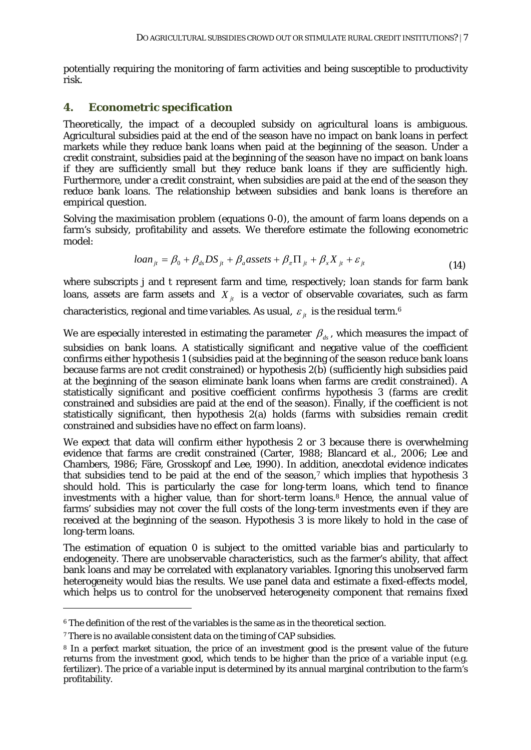potentially requiring the monitoring of farm activities and being susceptible to productivity risk.

#### **4. Econometric specification**

Theoretically, the impact of a decoupled subsidy on agricultural loans is ambiguous. Agricultural subsidies paid at the end of the season have no impact on bank loans in perfect markets while they reduce bank loans when paid at the beginning of the season. Under a credit constraint, subsidies paid at the beginning of the season have no impact on bank loans if they are sufficiently small but they reduce bank loans if they are sufficiently high. Furthermore, under a credit constraint, when subsidies are paid at the end of the season they reduce bank loans. The relationship between subsidies and bank loans is therefore an empirical question.

Solving the maximisation problem (equations 0-0), the amount of farm loans depends on a farm's subsidy, profitability and assets. We therefore estimate the following econometric model:

$$
loan_{ji} = \beta_0 + \beta_{ds}DS_{ji} + \beta_a \text{asserts} + \beta_{\pi} \Pi_{ji} + \beta_{x} X_{ji} + \varepsilon_{ji}
$$
\n(14)

where subscripts *j* and *t* represent farm and time, respectively; *loan* stands for farm bank loans, *assets* are farm assets and  $X_{it}$  is a vector of observable covariates, such as farm

characteristics, regional and time variables. As usual,  $\varepsilon_{it}$  is the residual term.<sup>6</sup>

We are especially interested in estimating the parameter  $\beta_{ds}$ , which measures the impact of subsidies on bank loans. A statistically significant and negative value of the coefficient confirms either hypothesis 1 (subsidies paid at the beginning of the season reduce bank loans because farms are not credit constrained) or hypothesis 2(b) (sufficiently high subsidies paid at the beginning of the season eliminate bank loans when farms are credit constrained). A statistically significant and positive coefficient confirms hypothesis 3 (farms are credit constrained and subsidies are paid at the end of the season). Finally, if the coefficient is not statistically significant, then hypothesis 2(a) holds (farms with subsidies remain credit constrained and subsidies have no effect on farm loans).

We expect that data will confirm either hypothesis 2 or 3 because there is overwhelming evidence that farms are credit constrained (Carter, 1988; Blancard et al., 2006; Lee and Chambers, 1986; Färe, Grosskopf and Lee, 1990). In addition, anecdotal evidence indicates that subsidies tend to be paid at the end of the season,<sup>7</sup> which implies that hypothesis 3 should hold. This is particularly the case for long-term loans, which tend to finance investments with a higher value, than for short-term loans.8 Hence, the annual value of farms' subsidies may not cover the full costs of the long-term investments even if they are received at the beginning of the season. Hypothesis 3 is more likely to hold in the case of long-term loans.

The estimation of equation 0 is subject to the omitted variable bias and particularly to endogeneity. There are unobservable characteristics, such as the farmer's ability, that affect bank loans and may be correlated with explanatory variables. Ignoring this unobserved farm heterogeneity would bias the results. We use panel data and estimate a fixed-effects model, which helps us to control for the unobserved heterogeneity component that remains fixed

-

<sup>6</sup> The definition of the rest of the variables is the same as in the theoretical section.

<sup>&</sup>lt;sup>7</sup> There is no available consistent data on the timing of CAP subsidies.

<sup>8</sup> In a perfect market situation, the price of an investment good is the present value of the future returns from the investment good, which tends to be higher than the price of a variable input (e.g. fertilizer). The price of a variable input is determined by its annual marginal contribution to the farm's profitability.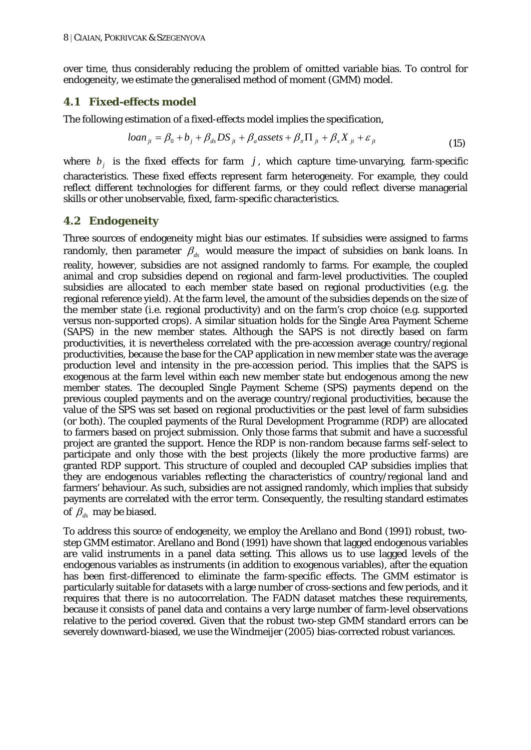over time, thus considerably reducing the problem of omitted variable bias. To control for endogeneity, we estimate the generalised method of moment (GMM) model.

#### *4.1 Fixed-effects model*

The following estimation of a fixed-effects model implies the specification,

$$
loan_{ji} = \beta_0 + b_j + \beta_{ds}DS_{ji} + \beta_a \text{assets} + \beta_{\pi} \Pi_{ji} + \beta_{x} X_{ji} + \varepsilon_{ji}
$$
\n(15)

where  $b_j$  is the fixed effects for farm  $j$ , which capture time-unvarying, farm-specific characteristics. These fixed effects represent farm heterogeneity. For example, they could reflect different technologies for different farms, or they could reflect diverse managerial skills or other unobservable, fixed, farm-specific characteristics.

#### *4.2 Endogeneity*

Three sources of endogeneity might bias our estimates. If subsidies were assigned to farms randomly, then parameter  $\beta_{d}$  would measure the impact of subsidies on bank loans. In reality, however, subsidies are not assigned randomly to farms. For example, the coupled animal and crop subsidies depend on regional and farm-level productivities. The coupled subsidies are allocated to each member state based on regional productivities (e.g. the regional reference yield). At the farm level, the amount of the subsidies depends on the size of the member state (i.e. regional productivity) and on the farm's crop choice (e.g. supported versus non-supported crops). A similar situation holds for the Single Area Payment Scheme (SAPS) in the new member states. Although the SAPS is not directly based on farm productivities, it is nevertheless correlated with the pre-accession average country/regional productivities, because the base for the CAP application in new member state was the average production level and intensity in the pre-accession period. This implies that the SAPS is exogenous at the farm level within each new member state but endogenous among the new member states. The decoupled Single Payment Scheme (SPS) payments depend on the previous coupled payments and on the average country/regional productivities, because the value of the SPS was set based on regional productivities or the past level of farm subsidies (or both). The coupled payments of the Rural Development Programme (RDP) are allocated to farmers based on project submission. Only those farms that submit and have a successful project are granted the support. Hence the RDP is non-random because farms self-select to participate and only those with the best projects (likely the more productive farms) are granted RDP support. This structure of coupled and decoupled CAP subsidies implies that they are endogenous variables reflecting the characteristics of country/regional land and farmers' behaviour. As such, subsidies are not assigned randomly, which implies that subsidy payments are correlated with the error term. Consequently, the resulting standard estimates of  $\beta_{\mu}$  may be biased.

To address this source of endogeneity, we employ the Arellano and Bond (1991) robust, twostep GMM estimator. Arellano and Bond (1991) have shown that lagged endogenous variables are valid instruments in a panel data setting. This allows us to use lagged levels of the endogenous variables as instruments (in addition to exogenous variables), after the equation has been first-differenced to eliminate the farm-specific effects. The GMM estimator is particularly suitable for datasets with a large number of cross-sections and few periods, and it requires that there is no autocorrelation. The FADN dataset matches these requirements, because it consists of panel data and contains a very large number of farm-level observations relative to the period covered. Given that the robust two-step GMM standard errors can be severely downward-biased, we use the Windmeijer (2005) bias-corrected robust variances.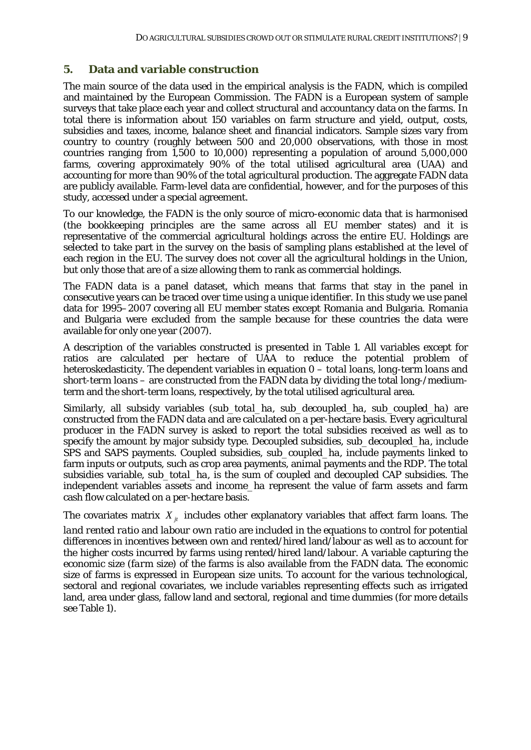#### **5. Data and variable construction**

The main source of the data used in the empirical analysis is the FADN, which is compiled and maintained by the European Commission. The FADN is a European system of sample surveys that take place each year and collect structural and accountancy data on the farms. In total there is information about 150 variables on farm structure and yield, output, costs, subsidies and taxes, income, balance sheet and financial indicators. Sample sizes vary from country to country (roughly between 500 and 20,000 observations, with those in most countries ranging from 1,500 to 10,000) representing a population of around 5,000,000 farms, covering approximately 90% of the total utilised agricultural area (UAA) and accounting for more than 90% of the total agricultural production. The aggregate FADN data are publicly available. Farm-level data are confidential, however, and for the purposes of this study, accessed under a special agreement.

To our knowledge, the FADN is the only source of micro-economic data that is harmonised (the bookkeeping principles are the same across all EU member states) and it is representative of the commercial agricultural holdings across the entire EU. Holdings are selected to take part in the survey on the basis of sampling plans established at the level of each region in the EU. The survey does not cover all the agricultural holdings in the Union, but only those that are of a size allowing them to rank as commercial holdings.

The FADN data is a panel dataset, which means that farms that stay in the panel in consecutive years can be traced over time using a unique identifier. In this study we use panel data for 1995–2007 covering all EU member states except Romania and Bulgaria. Romania and Bulgaria were excluded from the sample because for these countries the data were available for only one year (2007).

A description of the variables constructed is presented in Table 1. All variables except for ratios are calculated per hectare of UAA to reduce the potential problem of heteroskedasticity. The dependent variables in equation 0 – *total loans, long-term loans* and *short-term loans* – are constructed from the FADN data by dividing the total long-/mediumterm and the short-term loans, respectively, by the total utilised agricultural area.

Similarly, all subsidy variables (*sub\_total\_ha*, *sub\_decoupled\_ha*, *sub\_coupled\_ha*) are constructed from the FADN data and are calculated on a per-hectare basis. Every agricultural producer in the FADN survey is asked to report the total subsidies received as well as to specify the amount by major subsidy type. Decoupled subsidies, *sub\_decoupled\_ha*, include SPS and SAPS payments. Coupled subsidies, *sub\_coupled\_ha*, include payments linked to farm inputs or outputs, such as crop area payments, animal payments and the RDP. The total subsidies variable, *sub\_total\_ha*, is the sum of coupled and decoupled CAP subsidies. The independent variables *assets* and *income\_ha* represent the value of farm assets and farm cash flow calculated on a per-hectare basis.

The covariates matrix  $X_{it}$  includes other explanatory variables that affect farm loans. The

*land rented ratio* and *labour own ratio* are included in the equations to control for potential differences in incentives between own and rented/hired land/labour as well as to account for the higher costs incurred by farms using rented/hired land/labour. A variable capturing the economic size (*farm size*) of the farms is also available from the FADN data. The economic size of farms is expressed in European size units. To account for the various technological, sectoral and regional covariates, we include variables representing effects such as irrigated land, area under glass, fallow land and sectoral, regional and time dummies (for more details see Table 1).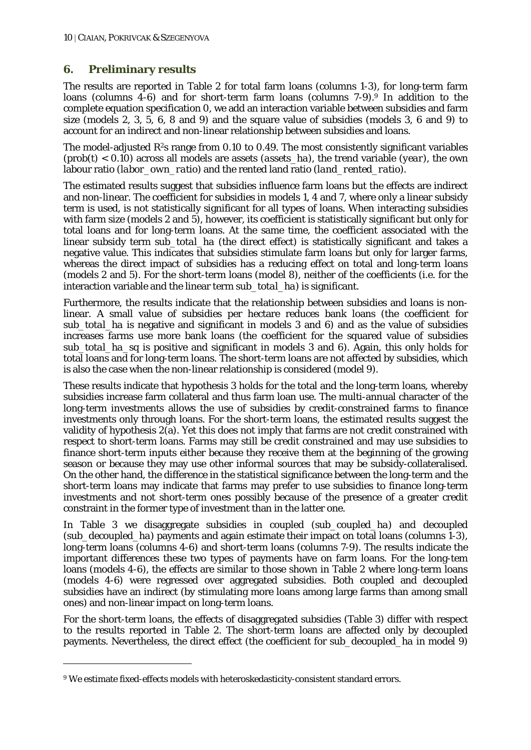#### **6. Preliminary results**

The results are reported in Table 2 for total farm loans (columns 1-3), for long-term farm loans (columns 4-6) and for short-term farm loans (columns 7-9).9 In addition to the complete equation specification 0, we add an interaction variable between subsidies and farm size (models 2, 3, 5, 6, 8 and 9) and the square value of subsidies (models 3, 6 and 9) to account for an indirect and non-linear relationship between subsidies and loans.

The model-adjusted  $R^2$ s range from 0.10 to 0.49. The most consistently significant variables (prob(t) < 0.10) across all models are assets (*assets\_ha*), the trend variable (*year*), the own labour ratio (*labor\_own\_ratio*) and the rented land ratio (*land\_rented\_ratio*).

The estimated results suggest that subsidies influence farm loans but the effects are indirect and non-linear. The coefficient for subsidies in models 1, 4 and 7, where only a linear subsidy term is used, is not statistically significant for all types of loans. When interacting subsidies with farm size (models 2 and 5), however, its coefficient is statistically significant but only for total loans and for long-term loans. At the same time, the coefficient associated with the linear subsidy term *sub* total ha (the direct effect) is statistically significant and takes a negative value. This indicates that subsidies stimulate farm loans but only for larger farms, whereas the direct impact of subsidies has a reducing effect on total and long-term loans (models 2 and 5). For the short-term loans (model 8), neither of the coefficients (i.e. for the interaction variable and the linear term *sub\_total\_ha*) is significant.

Furthermore, the results indicate that the relationship between subsidies and loans is nonlinear. A small value of subsidies per hectare reduces bank loans (the coefficient for *sub\_total\_ha* is negative and significant in models 3 and 6) and as the value of subsidies increases farms use more bank loans (the coefficient for the squared value of subsidies *sub\_total\_ha\_sq* is positive and significant in models 3 and 6). Again, this only holds for total loans and for long-term loans. The short-term loans are not affected by subsidies, which is also the case when the non-linear relationship is considered (model 9).

These results indicate that hypothesis 3 holds for the total and the long-term loans, whereby subsidies increase farm collateral and thus farm loan use. The multi-annual character of the long-term investments allows the use of subsidies by credit-constrained farms to finance investments only through loans. For the short-term loans, the estimated results suggest the validity of hypothesis 2(a). Yet this does not imply that farms are not credit constrained with respect to short-term loans. Farms may still be credit constrained and may use subsidies to finance short-term inputs either because they receive them at the beginning of the growing season or because they may use other informal sources that may be subsidy-collateralised. On the other hand, the difference in the statistical significance between the long-term and the short-term loans may indicate that farms may prefer to use subsidies to finance long-term investments and not short-term ones possibly because of the presence of a greater credit constraint in the former type of investment than in the latter one.

In Table 3 we disaggregate subsidies in coupled (*sub\_coupled\_ha*) and decoupled (*sub\_decoupled\_ha*) payments and again estimate their impact on total loans (columns 1-3), long-term loans (columns 4-6) and short-term loans (columns 7-9). The results indicate the important differences these two types of payments have on farm loans. For the long-tem loans (models 4-6), the effects are similar to those shown in Table 2 where long-term loans (models 4-6) were regressed over aggregated subsidies. Both coupled and decoupled subsidies have an indirect (by stimulating more loans among large farms than among small ones) and non-linear impact on long-term loans.

For the short-term loans, the effects of disaggregated subsidies (Table 3) differ with respect to the results reported in Table 2. The short-term loans are affected only by decoupled payments. Nevertheless, the direct effect (the coefficient for *sub\_decoupled\_ha* in model 9)

<u>.</u>

<sup>9</sup> We estimate fixed-effects models with heteroskedasticity-consistent standard errors.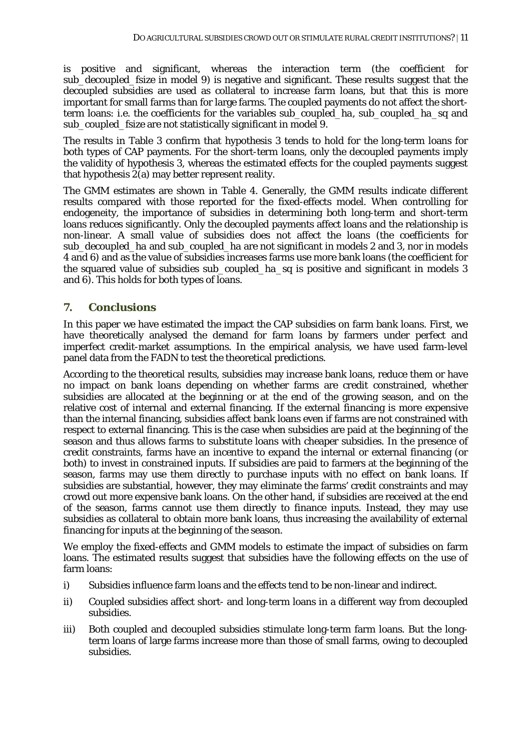is positive and significant, whereas the interaction term (the coefficient for *sub\_decoupled\_fsize* in model 9) is negative and significant. These results suggest that the decoupled subsidies are used as collateral to increase farm loans, but that this is more important for small farms than for large farms. The coupled payments do not affect the shortterm loans: i.e. the coefficients for the variables *sub\_coupled\_ha*, *sub\_coupled\_ha\_sq* and *sub\_coupled\_fsize* are not statistically significant in model 9.

The results in Table 3 confirm that hypothesis 3 tends to hold for the long-term loans for both types of CAP payments. For the short-term loans, only the decoupled payments imply the validity of hypothesis 3, whereas the estimated effects for the coupled payments suggest that hypothesis  $2(a)$  may better represent reality.

The GMM estimates are shown in Table 4. Generally, the GMM results indicate different results compared with those reported for the fixed-effects model. When controlling for endogeneity, the importance of subsidies in determining both long-term and short-term loans reduces significantly. Only the decoupled payments affect loans and the relationship is non-linear. A small value of subsidies does not affect the loans (the coefficients for *sub\_decoupled\_ha* and *sub\_coupled\_ha* are not significant in models 2 and 3, nor in models 4 and 6) and as the value of subsidies increases farms use more bank loans (the coefficient for the squared value of subsidies *sub\_coupled\_ha\_sq* is positive and significant in models 3 and 6). This holds for both types of loans.

#### **7. Conclusions**

In this paper we have estimated the impact the CAP subsidies on farm bank loans. First, we have theoretically analysed the demand for farm loans by farmers under perfect and imperfect credit-market assumptions. In the empirical analysis, we have used farm-level panel data from the FADN to test the theoretical predictions.

According to the theoretical results, subsidies may increase bank loans, reduce them or have no impact on bank loans depending on whether farms are credit constrained, whether subsidies are allocated at the beginning or at the end of the growing season, and on the relative cost of internal and external financing. If the external financing is more expensive than the internal financing, subsidies affect bank loans even if farms are not constrained with respect to external financing. This is the case when subsidies are paid at the beginning of the season and thus allows farms to substitute loans with cheaper subsidies. In the presence of credit constraints, farms have an incentive to expand the internal or external financing (or both) to invest in constrained inputs. If subsidies are paid to farmers at the beginning of the season, farms may use them directly to purchase inputs with no effect on bank loans. If subsidies are substantial, however, they may eliminate the farms' credit constraints and may crowd out more expensive bank loans. On the other hand, if subsidies are received at the end of the season, farms cannot use them directly to finance inputs. Instead, they may use subsidies as collateral to obtain more bank loans, thus increasing the availability of external financing for inputs at the beginning of the season.

We employ the fixed-effects and GMM models to estimate the impact of subsidies on farm loans. The estimated results suggest that subsidies have the following effects on the use of farm loans:

- i) Subsidies influence farm loans and the effects tend to be non-linear and indirect.
- ii) Coupled subsidies affect short- and long-term loans in a different way from decoupled subsidies.
- iii) Both coupled and decoupled subsidies stimulate long-term farm loans. But the longterm loans of large farms increase more than those of small farms, owing to decoupled subsidies.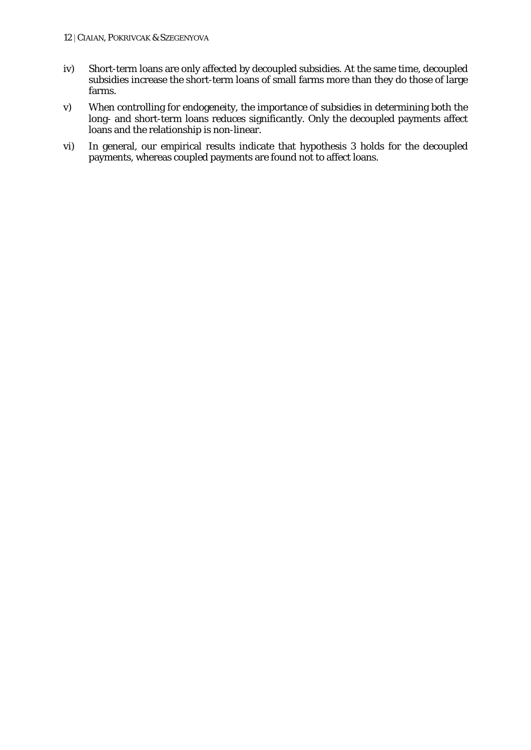- iv) Short-term loans are only affected by decoupled subsidies. At the same time, decoupled subsidies increase the short-term loans of small farms more than they do those of large farms.
- v) When controlling for endogeneity, the importance of subsidies in determining both the long- and short-term loans reduces significantly. Only the decoupled payments affect loans and the relationship is non-linear.
- vi) In general, our empirical results indicate that hypothesis 3 holds for the decoupled payments, whereas coupled payments are found not to affect loans.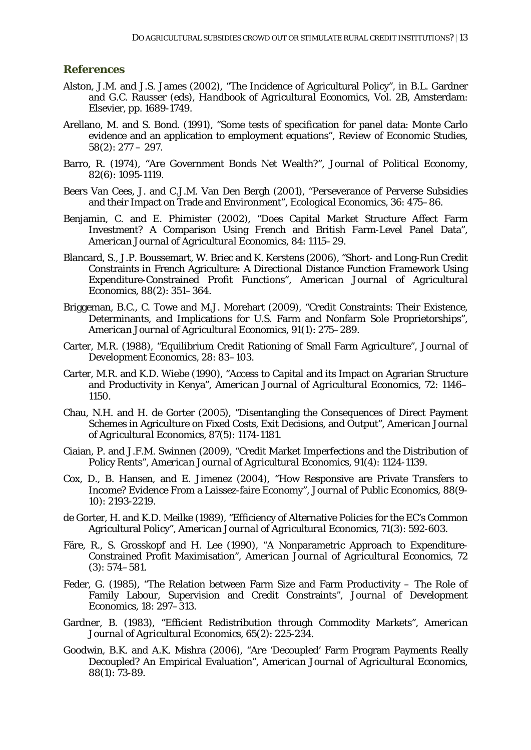#### **References**

- Alston, J.M. and J.S. James (2002), "The Incidence of Agricultural Policy", in B.L. Gardner and G.C. Rausser (eds), *Handbook of Agricultural Economics*, Vol. 2B, Amsterdam: Elsevier, pp. 1689-1749.
- Arellano, M. and S. Bond. (1991), "Some tests of specification for panel data: Monte Carlo evidence and an application to employment equations", *Review of Economic Studies*,  $58(2): 277 - 297.$
- Barro, R. (1974), "Are Government Bonds Net Wealth?", *Journal of Political Economy*, 82(6): 1095-1119.
- Beers Van Cees, J. and C.J.M. Van Den Bergh (2001), "Perseverance of Perverse Subsidies and their Impact on Trade and Environment", *Ecological Economics*, 36: 475–86.
- Benjamin, C. and E. Phimister (2002), "Does Capital Market Structure Affect Farm Investment? A Comparison Using French and British Farm-Level Panel Data", *American Journal of Agricultural Economics,* 84: 1115–29.
- Blancard, S., J.P. Boussemart, W. Briec and K. Kerstens (2006), "Short- and Long-Run Credit Constraints in French Agriculture: A Directional Distance Function Framework Using Expenditure-Constrained Profit Functions", *American Journal of Agricultural Economics,* 88(2): 351–364.
- Briggeman, B.C., C. Towe and M.J. Morehart (2009), "Credit Constraints: Their Existence, Determinants, and Implications for U.S. Farm and Nonfarm Sole Proprietorships", *American Journal of Agricultural Economics,* 91(1): 275–289.
- Carter, M.R. (1988), "Equilibrium Credit Rationing of Small Farm Agriculture", *Journal of Development Economics*, 28: 83–103.
- Carter, M.R. and K.D. Wiebe (1990), "Access to Capital and its Impact on Agrarian Structure and Productivity in Kenya", *American Journal of Agricultural Economics,* 72: 1146– 1150.
- Chau, N.H. and H. de Gorter (2005), "Disentangling the Consequences of Direct Payment Schemes in Agriculture on Fixed Costs, Exit Decisions, and Output", *American Journal of Agricultural Economics*, 87(5): 1174-1181.
- Ciaian, P. and J.F.M. Swinnen (2009), "Credit Market Imperfections and the Distribution of Policy Rents", *American Journal of Agricultural Economics*, 91(4): 1124-1139.
- Cox, D., B. Hansen, and E. Jimenez (2004), "How Responsive are Private Transfers to Income? Evidence From a Laissez-faire Economy", *Journal of Public Economics*, 88(9- 10): 2193-2219.
- de Gorter, H. and K.D. Meilke (1989), "Efficiency of Alternative Policies for the EC's Common Agricultural Policy", *American Journal of Agricultural Economics,* 71(3): 592-603.
- Färe, R., S. Grosskopf and H. Lee (1990), "A Nonparametric Approach to Expenditure-Constrained Profit Maximisation", *American Journal of Agricultural Economics*, 72 (3): 574–581.
- Feder, G. (1985), "The Relation between Farm Size and Farm Productivity The Role of Family Labour, Supervision and Credit Constraints", *Journal of Development Economics,* 18: 297–313.
- Gardner, B. (1983), "Efficient Redistribution through Commodity Markets", *American Journal of Agricultural Economics,* 65(2): 225-234.
- Goodwin, B.K. and A.K. Mishra (2006), "Are 'Decoupled' Farm Program Payments Really Decoupled? An Empirical Evaluation", *American Journal of Agricultural Economics,* 88(1): 73-89.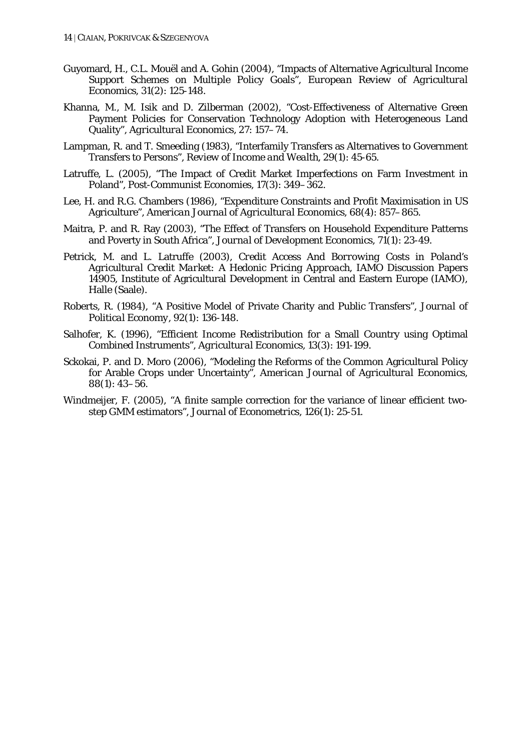- Guyomard, H., C.L. Mouël and A. Gohin (2004), "Impacts of Alternative Agricultural Income Support Schemes on Multiple Policy Goals", *European Review of Agricultural Economics,* 31(2): 125-148.
- Khanna, M., M. Isik and D. Zilberman (2002), "Cost-Effectiveness of Alternative Green Payment Policies for Conservation Technology Adoption with Heterogeneous Land Quality", *Agricultural Economics*, 27: 157–74.
- Lampman, R. and T. Smeeding (1983), "Interfamily Transfers as Alternatives to Government Transfers to Persons", *Review of Income and Wealth*, 29(1): 45-65.
- Latruffe, L. (2005), "The Impact of Credit Market Imperfections on Farm Investment in Poland", *Post-Communist Economies,* 17(3): 349–362.
- Lee, H. and R.G. Chambers (1986), "Expenditure Constraints and Profit Maximisation in US Agriculture", *American Journal of Agricultural Economics,* 68(4): 857–865.
- Maitra, P. and R. Ray (2003), "The Effect of Transfers on Household Expenditure Patterns and Poverty in South Africa", *Journal of Development Economics*, 71(1): 23-49.
- Petrick, M. and L. Latruffe (2003), *Credit Access And Borrowing Costs in Poland's Agricultural Credit Market: A Hedonic Pricing Approach*, IAMO Discussion Papers 14905, Institute of Agricultural Development in Central and Eastern Europe (IAMO), Halle (Saale).
- Roberts, R. (1984), "A Positive Model of Private Charity and Public Transfers", *Journal of Political Economy*, 92(1): 136-148.
- Salhofer, K. (1996), "Efficient Income Redistribution for a Small Country using Optimal Combined Instruments", *Agricultural Economics*, 13(3): 191-199.
- Sckokai, P. and D. Moro (2006), "Modeling the Reforms of the Common Agricultural Policy for Arable Crops under Uncertainty", *American Journal of Agricultural Economics,* 88(1): 43–56.
- Windmeijer, F. (2005), "A finite sample correction for the variance of linear efficient twostep GMM estimators", *Journal of Econometrics*, 126(1): 25-51.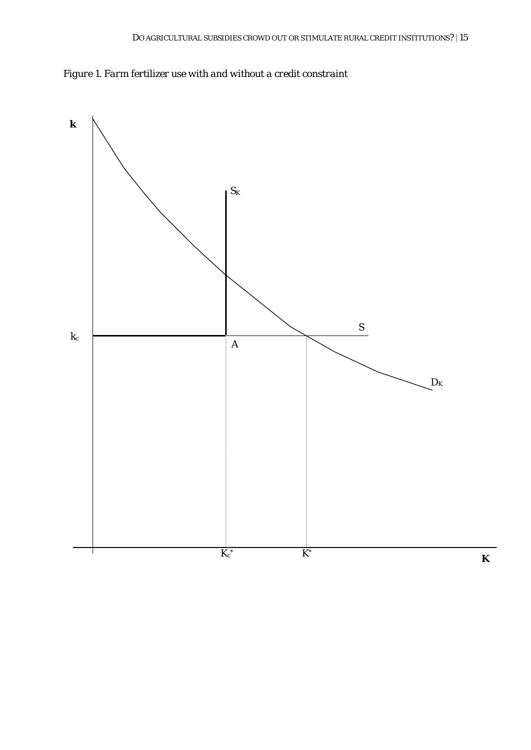*Figure 1. Farm fertilizer use with and without a credit constraint* 

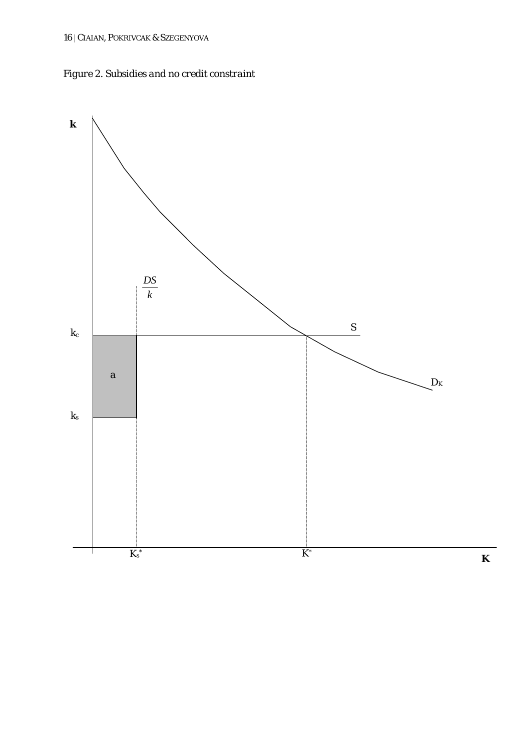

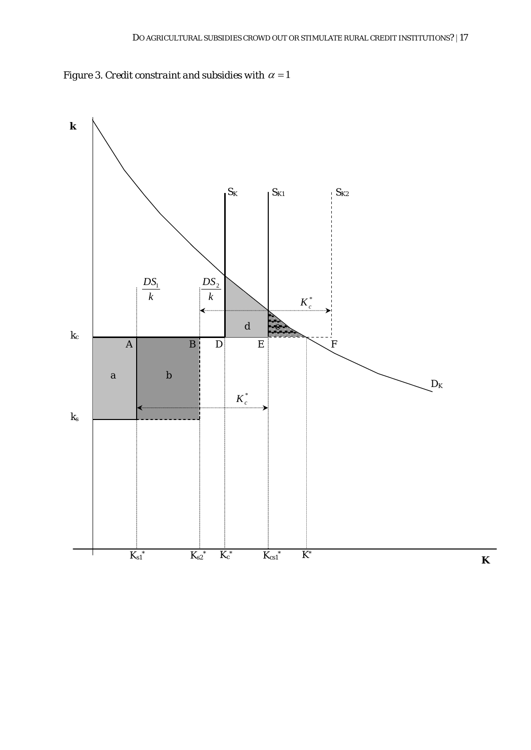

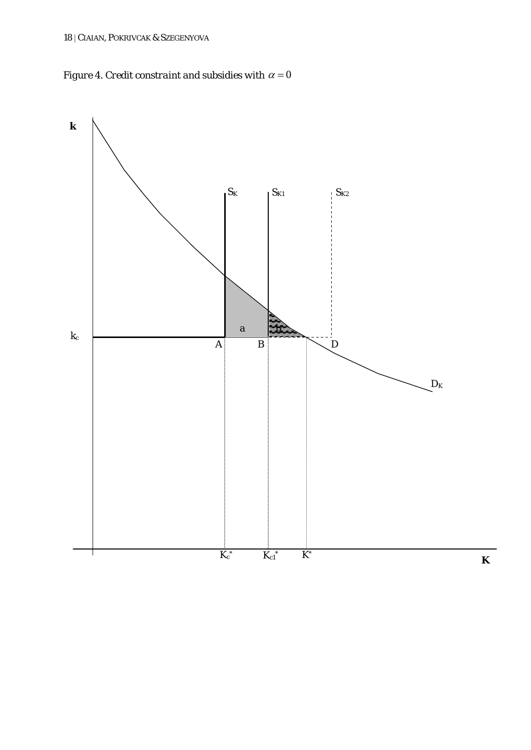*Figure 4. Credit constraint and subsidies with*  $\alpha = 0$ 

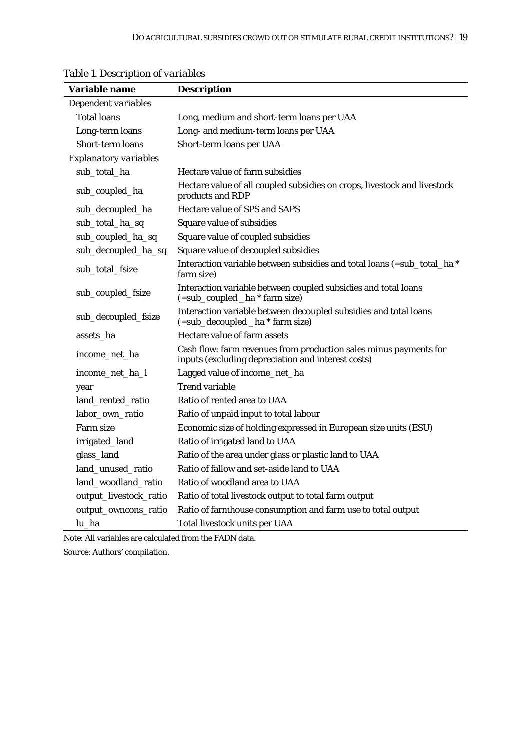| <b>Variable name</b>         | <b>Description</b>                                                                                                      |
|------------------------------|-------------------------------------------------------------------------------------------------------------------------|
| Dependent variables          |                                                                                                                         |
| <b>Total loans</b>           | Long, medium and short-term loans per UAA                                                                               |
| Long-term loans              | Long- and medium-term loans per UAA                                                                                     |
| Short-term loans             | Short-term loans per UAA                                                                                                |
| <b>Explanatory variables</b> |                                                                                                                         |
| sub_total_ha                 | Hectare value of farm subsidies                                                                                         |
| sub_coupled_ha               | Hectare value of all coupled subsidies on crops, livestock and livestock<br>products and RDP                            |
| sub_decoupled_ha             | Hectare value of SPS and SAPS                                                                                           |
| sub_total_ha_sq              | Square value of subsidies                                                                                               |
| sub_coupled_ha_sq            | Square value of coupled subsidies                                                                                       |
| sub_decoupled_ha_sq          | Square value of decoupled subsidies                                                                                     |
| sub_total_fsize              | Interaction variable between subsidies and total loans (=sub_total_ha *<br>farm size)                                   |
| sub_coupled_fsize            | Interaction variable between coupled subsidies and total loans<br>(=sub_coupled _ha * farm size)                        |
| sub_decoupled_fsize          | Interaction variable between decoupled subsidies and total loans<br>(=sub_decoupled _ha * farm size)                    |
| assets_ha                    | Hectare value of farm assets                                                                                            |
| income_net_ha                | Cash flow: farm revenues from production sales minus payments for<br>inputs (excluding depreciation and interest costs) |
| income_net_ha_l              | Lagged value of income_net_ha                                                                                           |
| year                         | <b>Trend variable</b>                                                                                                   |
| land_rented_ratio            | Ratio of rented area to UAA                                                                                             |
| labor_own_ratio              | Ratio of unpaid input to total labour                                                                                   |
| Farm size                    | Economic size of holding expressed in European size units (ESU)                                                         |
| irrigated_land               | Ratio of irrigated land to UAA                                                                                          |
| glass_land                   | Ratio of the area under glass or plastic land to UAA                                                                    |
| land_unused_ratio            | Ratio of fallow and set-aside land to UAA                                                                               |
| land_woodland_ratio          | Ratio of woodland area to UAA                                                                                           |
| output_livestock_ratio       | Ratio of total livestock output to total farm output                                                                    |
| output_owncons_ratio         | Ratio of farmhouse consumption and farm use to total output                                                             |
| lu_ha                        | Total livestock units per UAA                                                                                           |

# *Table 1. Description of variables*

*Note*: All variables are calculated from the FADN data.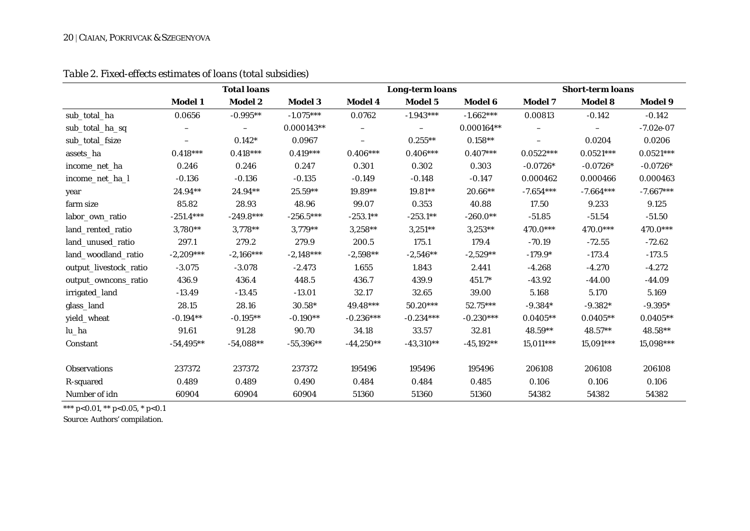#### 20 | CIAIAN, POKRIVCAK & SZEGENYOVA

| Table 2. Fixed-effects estimates of loans (total subsidies) |  |
|-------------------------------------------------------------|--|
|                                                             |  |

|                        | <b>Total loans</b> |                |                |             | <b>Long-term loans</b> |                |                          | <b>Short-term loans</b> |             |  |
|------------------------|--------------------|----------------|----------------|-------------|------------------------|----------------|--------------------------|-------------------------|-------------|--|
|                        | Model 1            | <b>Model 2</b> | <b>Model 3</b> | Model 4     | Model 5                | <b>Model 6</b> | Model 7                  | <b>Model 8</b>          | Model 9     |  |
| sub_total_ha           | 0.0656             | $-0.995**$     | $-1.075***$    | 0.0762      | $-1.943***$            | $-1.662***$    | 0.00813                  | $-0.142$                | $-0.142$    |  |
| sub_total_ha_sq        |                    |                | $0.000143**$   |             | $\qquad \qquad -$      | $0.000164**$   | $\overline{\phantom{0}}$ |                         | $-7.02e-07$ |  |
| sub_total_fsize        | —                  | $0.142*$       | 0.0967         |             | $0.255***$             | $0.158**$      | $\overline{\phantom{0}}$ | 0.0204                  | 0.0206      |  |
| assets_ha              | $0.418***$         | $0.418***$     | $0.419***$     | $0.406***$  | $0.406***$             | $0.407***$     | $0.0522***$              | $0.0521***$             | $0.0521***$ |  |
| income_net_ha          | 0.246              | 0.246          | 0.247          | 0.301       | 0.302                  | 0.303          | $-0.0726*$               | $-0.0726*$              | $-0.0726*$  |  |
| income_net_ha_l        | $-0.136$           | $-0.136$       | $-0.135$       | $-0.149$    | $-0.148$               | $-0.147$       | 0.000462                 | 0.000466                | 0.000463    |  |
| year                   | 24.94**            | 24.94**        | 25.59**        | 19.89**     | $19.81**$              | $20.66**$      | $-7.654***$              | $-7.664***$             | $-7.667***$ |  |
| farm size              | 85.82              | 28.93          | 48.96          | 99.07       | 0.353                  | 40.88          | 17.50                    | 9.233                   | 9.125       |  |
| labor own ratio        | $-251.4***$        | $-249.8***$    | $-256.5***$    | $-253.1**$  | $-253.1**$             | $-260.0**$     | $-51.85$                 | $-51.54$                | $-51.50$    |  |
| land_rented_ratio      | 3,780**            | $3,778**$      | $3,779**$      | $3,258**$   | $3,251**$              | $3,253**$      | 470.0***                 | 470.0***                | 470.0***    |  |
| land_unused_ratio      | 297.1              | 279.2          | 279.9          | 200.5       | 175.1                  | 179.4          | $-70.19$                 | $-72.55$                | $-72.62$    |  |
| land_woodland_ratio    | $-2,209***$        | $-2,166***$    | $-2,148***$    | $-2,598**$  | $-2,546**$             | $-2,529**$     | $-179.9*$                | $-173.4$                | $-173.5$    |  |
| output_livestock_ratio | $-3.075$           | $-3.078$       | $-2.473$       | 1.655       | 1.843                  | 2.441          | $-4.268$                 | $-4.270$                | $-4.272$    |  |
| output_owncons_ratio   | 436.9              | 436.4          | 448.5          | 436.7       | 439.9                  | $451.7*$       | $-43.92$                 | $-44.00$                | $-44.09$    |  |
| irrigated_land         | $-13.49$           | $-13.45$       | $-13.01$       | 32.17       | 32.65                  | 39.00          | 5.168                    | 5.170                   | 5.169       |  |
| glass_land             | 28.15              | 28.16          | $30.58*$       | $49.48***$  | $50.20***$             | $52.75***$     | $-9.384*$                | $-9.382*$               | $-9.395*$   |  |
| yield_wheat            | $-0.194**$         | $-0.195**$     | $-0.190**$     | $-0.236***$ | $-0.234***$            | $-0.230***$    | $0.0405**$               | $0.0405**$              | $0.0405**$  |  |
| lu_ha                  | 91.61              | 91.28          | 90.70          | 34.18       | 33.57                  | 32.81          | 48.59**                  | 48.57**                 | 48.58**     |  |
| Constant               | $-54,495**$        | $-54,088**$    | $-55,396**$    | $-44,250**$ | $-43,310**$            | $-45,192**$    | $15,011***$              | $15,091***$             | 15,098***   |  |
| <b>Observations</b>    | 237372             | 237372         | 237372         | 195496      | 195496                 | 195496         | 206108                   | 206108                  | 206108      |  |
| R-squared              | 0.489              | 0.489          | 0.490          | 0.484       | 0.484                  | 0.485          | 0.106                    | 0.106                   | 0.106       |  |
| Number of idn          | 60904              | 60904          | 60904          | 51360       | 51360                  | 51360          | 54382                    | 54382                   | 54382       |  |

\*\*\* p<0.01, \*\* p<0.05, \* p<0.1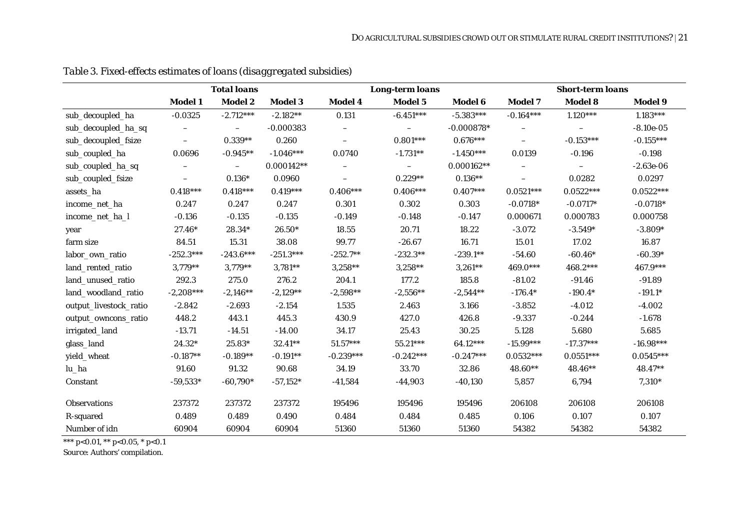|                        |                          | <b>Total loans</b>       |                |                          | <b>Long-term loans</b> |                |                          | <b>Short-term loans</b>  |             |
|------------------------|--------------------------|--------------------------|----------------|--------------------------|------------------------|----------------|--------------------------|--------------------------|-------------|
|                        | <b>Model 1</b>           | Model 2                  | <b>Model 3</b> | Model 4                  | Model 5                | <b>Model 6</b> | <b>Model 7</b>           | Model 8                  | Model 9     |
| sub_decoupled_ha       | $-0.0325$                | $-2.712***$              | $-2.182**$     | 0.131                    | $-6.451***$            | $-5.383***$    | $-0.164***$              | $1.120***$               | $1.183***$  |
| sub_decoupled_ha_sq    | $\overline{\phantom{m}}$ | $\overline{\phantom{0}}$ | $-0.000383$    | $\overline{\phantom{0}}$ | $\qquad \qquad -$      | $-0.000878*$   | $\overline{\phantom{m}}$ | $\overline{\phantom{m}}$ | $-8.10e-05$ |
| sub_decoupled_fsize    | $\overline{\phantom{m}}$ | $0.339**$                | 0.260          | $\overline{\phantom{0}}$ | $0.801***$             | $0.676***$     | $\overline{\phantom{m}}$ | $-0.153***$              | $-0.155***$ |
| sub_coupled_ha         | 0.0696                   | $-0.945**$               | $-1.046***$    | 0.0740                   | $-1.731**$             | $-1.450***$    | 0.0139                   | $-0.196$                 | $-0.198$    |
| sub_coupled_ha_sq      |                          | $\qquad \qquad -$        | $0.000142**$   |                          | $-$                    | $0.000162**$   |                          |                          | $-2.63e-06$ |
| sub_coupled_fsize      | $\overline{\phantom{0}}$ | $0.136*$                 | 0.0960         | $\overline{\phantom{0}}$ | $0.229**$              | $0.136**$      | $\overline{\phantom{m}}$ | 0.0282                   | 0.0297      |
| assets_ha              | $0.418***$               | $0.418***$               | $0.419***$     | $0.406***$               | $0.406***$             | $0.407***$     | $0.0521***$              | $0.0522***$              | $0.0522***$ |
| income_net_ha          | 0.247                    | 0.247                    | 0.247          | 0.301                    | 0.302                  | 0.303          | $-0.0718*$               | $-0.0717*$               | $-0.0718*$  |
| income_net_ha_l        | $-0.136$                 | $-0.135$                 | $-0.135$       | $-0.149$                 | $-0.148$               | $-0.147$       | 0.000671                 | 0.000783                 | 0.000758    |
| year                   | $27.46*$                 | $28.34*$                 | $26.50*$       | 18.55                    | 20.71                  | 18.22          | $-3.072$                 | $-3.549*$                | $-3.809*$   |
| farm size              | 84.51                    | 15.31                    | 38.08          | 99.77                    | $-26.67$               | 16.71          | 15.01                    | 17.02                    | 16.87       |
| labor_own_ratio        | $-252.3***$              | $-243.6***$              | $-251.3***$    | $-252.7**$               | $-232.3**$             | $-239.1**$     | $-54.60$                 | $-60.46*$                | $-60.39*$   |
| land_rented_ratio      | 3,779**                  | $3,779**$                | $3,781**$      | $3,258**$                | $3,258**$              | $3,261**$      | 469.0***                 | 468.2***                 | 467.9***    |
| land_unused_ratio      | 292.3                    | 275.0                    | 276.2          | 204.1                    | 177.2                  | 185.8          | $-81.02$                 | $-91.46$                 | $-91.89$    |
| land_woodland_ratio    | $-2,208***$              | $-2,146**$               | $-2,129**$     | $-2,598**$               | $-2,556**$             | $-2,544**$     | $-176.4*$                | $-190.4*$                | $-191.1*$   |
| output_livestock_ratio | $-2.842$                 | $-2.693$                 | $-2.154$       | 1.535                    | 2.463                  | 3.166          | $-3.852$                 | $-4.012$                 | $-4.002$    |
| output_owncons_ratio   | 448.2                    | 443.1                    | 445.3          | 430.9                    | 427.0                  | 426.8          | $-9.337$                 | $-0.244$                 | $-1.678$    |
| irrigated_land         | $-13.71$                 | $-14.51$                 | $-14.00$       | 34.17                    | 25.43                  | 30.25          | 5.128                    | 5.680                    | 5.685       |
| glass_land             | 24.32*                   | 25.83*                   | 32.41**        | $51.57***$               | $55.21***$             | 64.12***       | $-15.99***$              | $-17.37***$              | $-16.98***$ |
| yield_wheat            | $-0.187**$               | $-0.189**$               | $-0.191**$     | $-0.239***$              | $-0.242***$            | $-0.247***$    | $0.0532***$              | $0.0551***$              | $0.0545***$ |
| lu_ha                  | 91.60                    | 91.32                    | 90.68          | 34.19                    | 33.70                  | 32.86          | 48.60**                  | 48.46**                  | 48.47**     |
| Constant               | $-59,533*$               | $-60,790*$               | $-57,152*$     | $-41,584$                | $-44,903$              | $-40,130$      | 5,857                    | 6,794                    | $7,310*$    |
| Observations           | 237372                   | 237372                   | 237372         | 195496                   | 195496                 | 195496         | 206108                   | 206108                   | 206108      |
| R-squared              | 0.489                    | 0.489                    | 0.490          | 0.484                    | 0.484                  | 0.485          | 0.106                    | 0.107                    | 0.107       |
| Number of idn          | 60904                    | 60904                    | 60904          | 51360                    | 51360                  | 51360          | 54382                    | 54382                    | 54382       |

*Table 3. Fixed-effects estimates of loans (disaggregated subsidies)*

\*\*\* p<0.01, \*\* p<0.05, \* p<0.1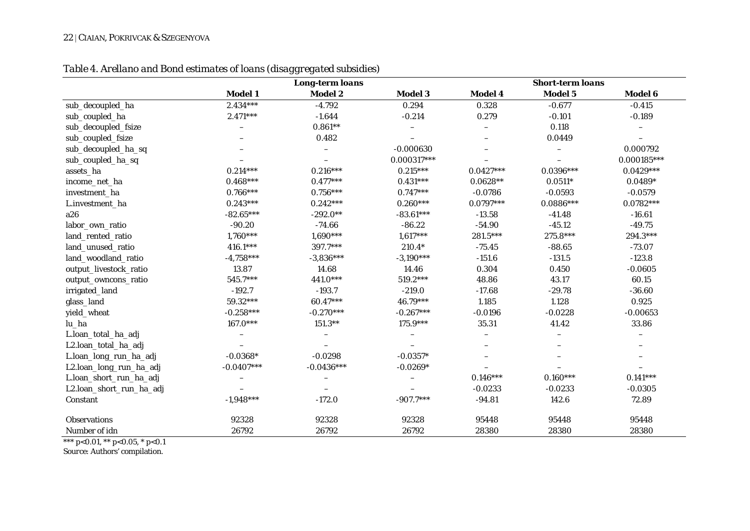#### 22 | CIAIAN, POKRIVCAK & SZEGENYOVA

|                          |              | <b>Long-term loans</b> |                          |                          | <b>Short-term loans</b>  |                          |
|--------------------------|--------------|------------------------|--------------------------|--------------------------|--------------------------|--------------------------|
|                          | Model 1      | Model 2                | Model 3                  | Model 4                  | Model 5                  | Model 6                  |
| sub_decoupled_ha         | $2.434***$   | $-4.792$               | 0.294                    | 0.328                    | $-0.677$                 | $-0.415$                 |
| sub_coupled_ha           | $2.471***$   | $-1.644$               | $-0.214$                 | 0.279                    | $-0.101$                 | $-0.189$                 |
| sub_decoupled_fsize      |              | $0.861**$              | -                        |                          | 0.118                    | $\qquad \qquad -$        |
| sub_coupled_fsize        |              | 0.482                  |                          |                          | 0.0449                   |                          |
| sub_decoupled_ha_sq      |              |                        | $-0.000630$              |                          |                          | 0.000792                 |
| sub_coupled_ha_sq        |              |                        | $0.000317***$            |                          |                          | $0.000185***$            |
| assets_ha                | $0.214***$   | $0.216***$             | $0.215***$               | $0.0427***$              | $0.0396***$              | $0.0429***$              |
| income_net_ha            | $0.468***$   | $0.477***$             | $0.431***$               | $0.0628**$               | $0.0511*$                | $0.0489*$                |
| investment_ha            | $0.766***$   | $0.756***$             | $0.747***$               | $-0.0786$                | $-0.0593$                | $-0.0579$                |
| L.investment_ha          | $0.243***$   | $0.242***$             | $0.260***$               | $0.0797***$              | $0.0886***$              | $0.0782***$              |
| a26                      | $-82.65***$  | $-292.0**$             | $-83.61***$              | $-13.58$                 | $-41.48$                 | $-16.61$                 |
| labor_own_ratio          | $-90.20$     | $-74.66$               | $-86.22$                 | $-54.90$                 | $-45.12$                 | $-49.75$                 |
| land_rented_ratio        | $1,760***$   | $1,690***$             | $1,617***$               | 281.5***                 | 275.8***                 | 294.3***                 |
| land_unused_ratio        | 416.1***     | 397.7***               | $210.4*$                 | $-75.45$                 | $-88.65$                 | $-73.07$                 |
| land_woodland_ratio      | $-4,758***$  | $-3,836***$            | $-3,190***$              | $-151.6$                 | $-131.5$                 | $-123.8$                 |
| output_livestock_ratio   | 13.87        | 14.68                  | 14.46                    | 0.304                    | 0.450                    | $-0.0605$                |
| output_owncons_ratio     | 545.7***     | 441.0***               | 519.2***                 | 48.86                    | 43.17                    | 60.15                    |
| irrigated_land           | $-192.7$     | $-193.7$               | $-219.0$                 | $-17.68$                 | $-29.78$                 | $-36.60$                 |
| glass_land               | $59.32***$   | 60.47***               | 46.79***                 | 1.185                    | 1.128                    | 0.925                    |
| yield_wheat              | $-0.258***$  | $-0.270***$            | $-0.267***$              | $-0.0196$                | $-0.0228$                | $-0.00653$               |
| lu_ha                    | $167.0***$   | $151.3**$              | $175.9***$               | 35.31                    | 41.42                    | 33.86                    |
| L.loan_total_ha_adj      |              |                        | $\overline{\phantom{0}}$ | $\overline{\phantom{0}}$ | $\overline{\phantom{0}}$ | $\overline{\phantom{0}}$ |
| L2.loan_total_ha_adj     |              |                        |                          | $\overline{\phantom{0}}$ | $\overline{\phantom{0}}$ | $\overline{\phantom{0}}$ |
| L.loan_long_run_ha_adj   | $-0.0368*$   | $-0.0298$              | $-0.0357*$               |                          |                          |                          |
| L2.loan_long_run_ha_adj  | $-0.0407***$ | $-0.0436***$           | $-0.0269*$               |                          |                          |                          |
| L.loan_short_run_ha_adj  |              |                        | $\overline{\phantom{0}}$ | $0.146***$               | $0.160***$               | $0.141***$               |
| L2.loan_short_run_ha_adj |              |                        |                          | $-0.0233$                | $-0.0233$                | $-0.0305$                |
| Constant                 | $-1,948***$  | $-172.0$               | $-907.7***$              | $-94.81$                 | 142.6                    | 72.89                    |
|                          |              |                        |                          |                          |                          |                          |
| <b>Observations</b>      | 92328        | 92328                  | 92328                    | 95448                    | 95448                    | 95448                    |
| Number of idn            | 26792        | 26792                  | 26792                    | 28380                    | 28380                    | 28380                    |

*Table 4. Arellano and Bond estimates of loans (disaggregated subsidies)* 

\*\*\* p<0.01, \*\* p<0.05, \* p<0.1